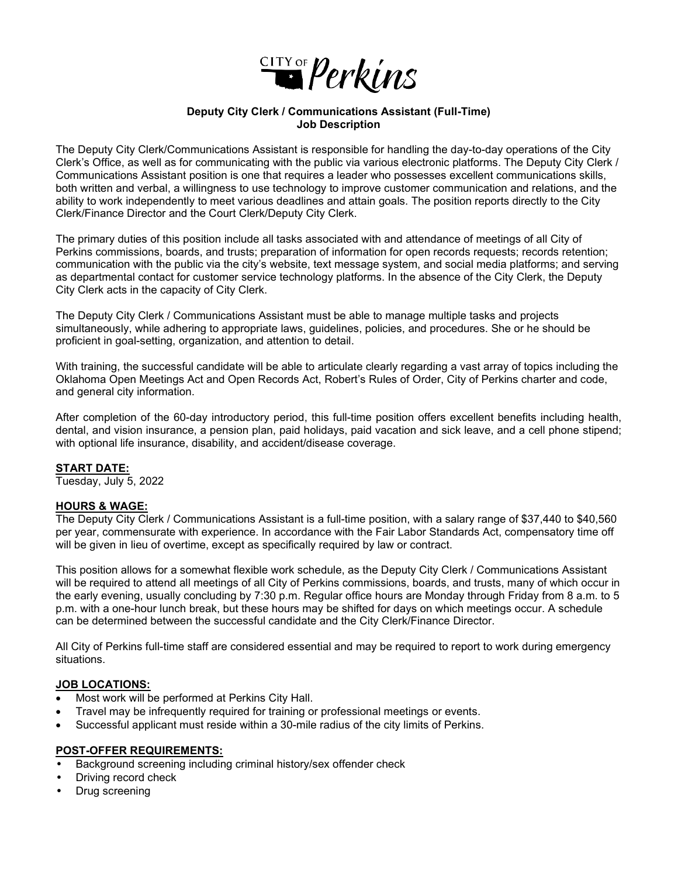

#### **Deputy City Clerk / Communications Assistant (Full-Time) Job Description**

The Deputy City Clerk/Communications Assistant is responsible for handling the day-to-day operations of the City Clerk's Office, as well as for communicating with the public via various electronic platforms. The Deputy City Clerk / Communications Assistant position is one that requires a leader who possesses excellent communications skills, both written and verbal, a willingness to use technology to improve customer communication and relations, and the ability to work independently to meet various deadlines and attain goals. The position reports directly to the City Clerk/Finance Director and the Court Clerk/Deputy City Clerk.

The primary duties of this position include all tasks associated with and attendance of meetings of all City of Perkins commissions, boards, and trusts; preparation of information for open records requests; records retention; communication with the public via the city's website, text message system, and social media platforms; and serving as departmental contact for customer service technology platforms. In the absence of the City Clerk, the Deputy City Clerk acts in the capacity of City Clerk.

The Deputy City Clerk / Communications Assistant must be able to manage multiple tasks and projects simultaneously, while adhering to appropriate laws, guidelines, policies, and procedures. She or he should be proficient in goal-setting, organization, and attention to detail.

With training, the successful candidate will be able to articulate clearly regarding a vast array of topics including the Oklahoma Open Meetings Act and Open Records Act, Robert's Rules of Order, City of Perkins charter and code, and general city information.

After completion of the 60-day introductory period, this full-time position offers excellent benefits including health, dental, and vision insurance, a pension plan, paid holidays, paid vacation and sick leave, and a cell phone stipend; with optional life insurance, disability, and accident/disease coverage.

#### **START DATE:**

Tuesday, July 5, 2022

### **HOURS & WAGE:**

The Deputy City Clerk / Communications Assistant is a full-time position, with a salary range of \$37,440 to \$40,560 per year, commensurate with experience. In accordance with the Fair Labor Standards Act, compensatory time off will be given in lieu of overtime, except as specifically required by law or contract.

This position allows for a somewhat flexible work schedule, as the Deputy City Clerk / Communications Assistant will be required to attend all meetings of all City of Perkins commissions, boards, and trusts, many of which occur in the early evening, usually concluding by 7:30 p.m. Regular office hours are Monday through Friday from 8 a.m. to 5 p.m. with a one-hour lunch break, but these hours may be shifted for days on which meetings occur. A schedule can be determined between the successful candidate and the City Clerk/Finance Director.

All City of Perkins full-time staff are considered essential and may be required to report to work during emergency situations.

# **JOB LOCATIONS:**

- Most work will be performed at Perkins City Hall.
- Travel may be infrequently required for training or professional meetings or events.
- Successful applicant must reside within a 30-mile radius of the city limits of Perkins.

#### **POST-OFFER REQUIREMENTS:**

- Background screening including criminal history/sex offender check
- Driving record check
- Drug screening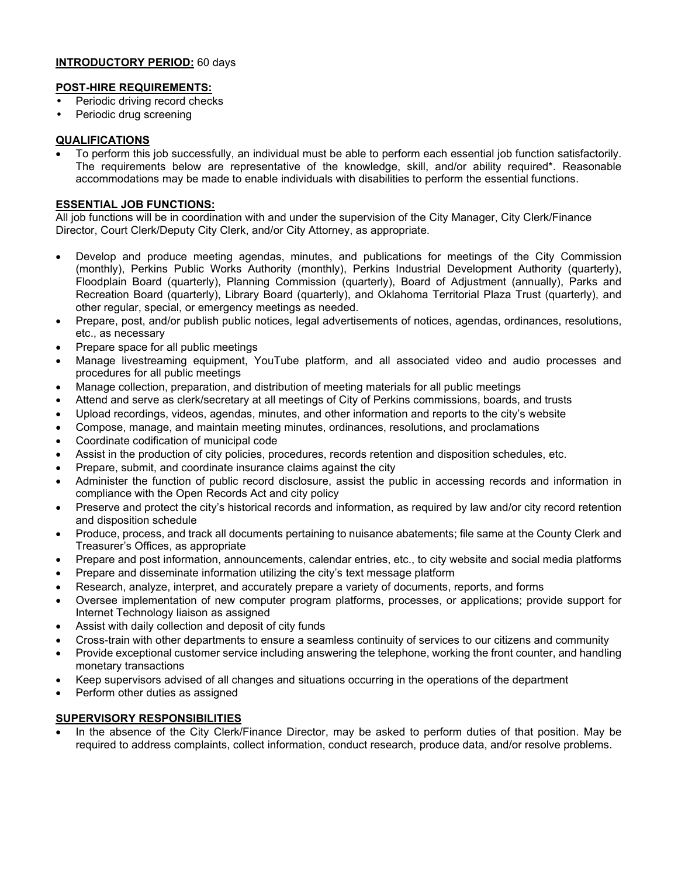# **INTRODUCTORY PERIOD:** 60 days

#### **POST-HIRE REQUIREMENTS:**

- Periodic driving record checks
- Periodic drug screening

### **QUALIFICATIONS**

• To perform this job successfully, an individual must be able to perform each essential job function satisfactorily. The requirements below are representative of the knowledge, skill, and/or ability required\*. Reasonable accommodations may be made to enable individuals with disabilities to perform the essential functions.

### **ESSENTIAL JOB FUNCTIONS:**

All job functions will be in coordination with and under the supervision of the City Manager, City Clerk/Finance Director, Court Clerk/Deputy City Clerk, and/or City Attorney, as appropriate.

- Develop and produce meeting agendas, minutes, and publications for meetings of the City Commission (monthly), Perkins Public Works Authority (monthly), Perkins Industrial Development Authority (quarterly), Floodplain Board (quarterly), Planning Commission (quarterly), Board of Adjustment (annually), Parks and Recreation Board (quarterly), Library Board (quarterly), and Oklahoma Territorial Plaza Trust (quarterly), and other regular, special, or emergency meetings as needed.
- Prepare, post, and/or publish public notices, legal advertisements of notices, agendas, ordinances, resolutions, etc., as necessary
- Prepare space for all public meetings
- Manage livestreaming equipment, YouTube platform, and all associated video and audio processes and procedures for all public meetings
- Manage collection, preparation, and distribution of meeting materials for all public meetings
- Attend and serve as clerk/secretary at all meetings of City of Perkins commissions, boards, and trusts
- Upload recordings, videos, agendas, minutes, and other information and reports to the city's website
- Compose, manage, and maintain meeting minutes, ordinances, resolutions, and proclamations
- Coordinate codification of municipal code
- Assist in the production of city policies, procedures, records retention and disposition schedules, etc.
- Prepare, submit, and coordinate insurance claims against the city
- Administer the function of public record disclosure, assist the public in accessing records and information in compliance with the Open Records Act and city policy
- Preserve and protect the city's historical records and information, as required by law and/or city record retention and disposition schedule
- Produce, process, and track all documents pertaining to nuisance abatements; file same at the County Clerk and Treasurer's Offices, as appropriate
- Prepare and post information, announcements, calendar entries, etc., to city website and social media platforms
- Prepare and disseminate information utilizing the city's text message platform
- Research, analyze, interpret, and accurately prepare a variety of documents, reports, and forms
- Oversee implementation of new computer program platforms, processes, or applications; provide support for Internet Technology liaison as assigned
- Assist with daily collection and deposit of city funds
- Cross-train with other departments to ensure a seamless continuity of services to our citizens and community
- Provide exceptional customer service including answering the telephone, working the front counter, and handling monetary transactions
- Keep supervisors advised of all changes and situations occurring in the operations of the department
- Perform other duties as assigned

# **SUPERVISORY RESPONSIBILITIES**

• In the absence of the City Clerk/Finance Director, may be asked to perform duties of that position. May be required to address complaints, collect information, conduct research, produce data, and/or resolve problems.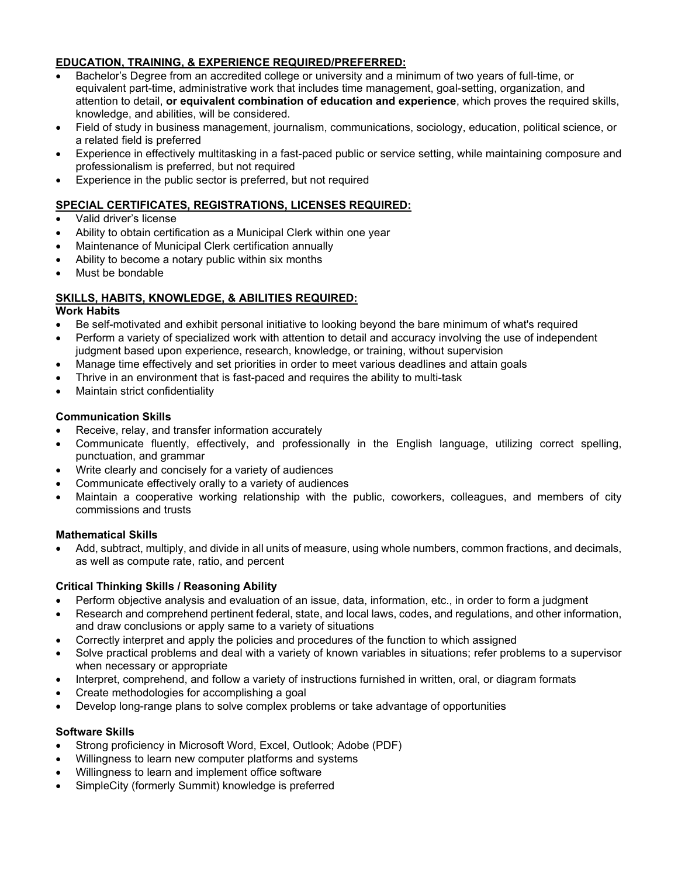# **EDUCATION, TRAINING, & EXPERIENCE REQUIRED/PREFERRED:**

- Bachelor's Degree from an accredited college or university and a minimum of two years of full-time, or equivalent part-time, administrative work that includes time management, goal-setting, organization, and attention to detail, **or equivalent combination of education and experience**, which proves the required skills, knowledge, and abilities, will be considered.
- Field of study in business management, journalism, communications, sociology, education, political science, or a related field is preferred
- Experience in effectively multitasking in a fast-paced public or service setting, while maintaining composure and professionalism is preferred, but not required
- Experience in the public sector is preferred, but not required

# **SPECIAL CERTIFICATES, REGISTRATIONS, LICENSES REQUIRED:**

- Valid driver's license
- Ability to obtain certification as a Municipal Clerk within one year
- Maintenance of Municipal Clerk certification annually
- Ability to become a notary public within six months
- Must be bondable

# **SKILLS, HABITS, KNOWLEDGE, & ABILITIES REQUIRED:**

### **Work Habits**

- Be self-motivated and exhibit personal initiative to looking beyond the bare minimum of what's required
- Perform a variety of specialized work with attention to detail and accuracy involving the use of independent judgment based upon experience, research, knowledge, or training, without supervision
- Manage time effectively and set priorities in order to meet various deadlines and attain goals
- Thrive in an environment that is fast-paced and requires the ability to multi-task
- Maintain strict confidentiality

# **Communication Skills**

- Receive, relay, and transfer information accurately
- Communicate fluently, effectively, and professionally in the English language, utilizing correct spelling, punctuation, and grammar
- Write clearly and concisely for a variety of audiences
- Communicate effectively orally to a variety of audiences
- Maintain a cooperative working relationship with the public, coworkers, colleagues, and members of city commissions and trusts

# **Mathematical Skills**

• Add, subtract, multiply, and divide in all units of measure, using whole numbers, common fractions, and decimals, as well as compute rate, ratio, and percent

# **Critical Thinking Skills / Reasoning Ability**

- Perform objective analysis and evaluation of an issue, data, information, etc., in order to form a judgment
- Research and comprehend pertinent federal, state, and local laws, codes, and regulations, and other information, and draw conclusions or apply same to a variety of situations
- Correctly interpret and apply the policies and procedures of the function to which assigned
- Solve practical problems and deal with a variety of known variables in situations; refer problems to a supervisor when necessary or appropriate
- Interpret, comprehend, and follow a variety of instructions furnished in written, oral, or diagram formats
- Create methodologies for accomplishing a goal
- Develop long-range plans to solve complex problems or take advantage of opportunities

# **Software Skills**

- Strong proficiency in Microsoft Word, Excel, Outlook; Adobe (PDF)
- Willingness to learn new computer platforms and systems
- Willingness to learn and implement office software
- SimpleCity (formerly Summit) knowledge is preferred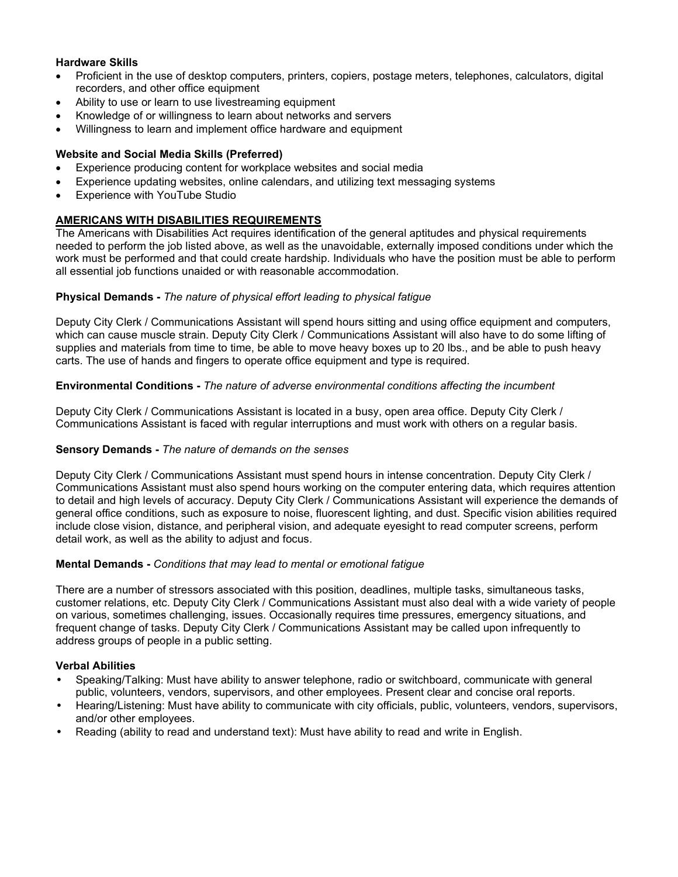# **Hardware Skills**

- Proficient in the use of desktop computers, printers, copiers, postage meters, telephones, calculators, digital recorders, and other office equipment
- Ability to use or learn to use livestreaming equipment
- Knowledge of or willingness to learn about networks and servers
- Willingness to learn and implement office hardware and equipment

### **Website and Social Media Skills (Preferred)**

- Experience producing content for workplace websites and social media
- Experience updating websites, online calendars, and utilizing text messaging systems
- Experience with YouTube Studio

# **AMERICANS WITH DISABILITIES REQUIREMENTS**

The Americans with Disabilities Act requires identification of the general aptitudes and physical requirements needed to perform the job listed above, as well as the unavoidable, externally imposed conditions under which the work must be performed and that could create hardship. Individuals who have the position must be able to perform all essential job functions unaided or with reasonable accommodation.

### **Physical Demands -** *The nature of physical effort leading to physical fatigue*

Deputy City Clerk / Communications Assistant will spend hours sitting and using office equipment and computers, which can cause muscle strain. Deputy City Clerk / Communications Assistant will also have to do some lifting of supplies and materials from time to time, be able to move heavy boxes up to 20 lbs., and be able to push heavy carts. The use of hands and fingers to operate office equipment and type is required.

#### **Environmental Conditions -** *The nature of adverse environmental conditions affecting the incumbent*

Deputy City Clerk / Communications Assistant is located in a busy, open area office. Deputy City Clerk / Communications Assistant is faced with regular interruptions and must work with others on a regular basis.

#### **Sensory Demands -** *The nature of demands on the senses*

Deputy City Clerk / Communications Assistant must spend hours in intense concentration. Deputy City Clerk / Communications Assistant must also spend hours working on the computer entering data, which requires attention to detail and high levels of accuracy. Deputy City Clerk / Communications Assistant will experience the demands of general office conditions, such as exposure to noise, fluorescent lighting, and dust. Specific vision abilities required include close vision, distance, and peripheral vision, and adequate eyesight to read computer screens, perform detail work, as well as the ability to adjust and focus.

#### **Mental Demands -** *Conditions that may lead to mental or emotional fatigue*

There are a number of stressors associated with this position, deadlines, multiple tasks, simultaneous tasks, customer relations, etc. Deputy City Clerk / Communications Assistant must also deal with a wide variety of people on various, sometimes challenging, issues. Occasionally requires time pressures, emergency situations, and frequent change of tasks. Deputy City Clerk / Communications Assistant may be called upon infrequently to address groups of people in a public setting.

#### **Verbal Abilities**

- Speaking/Talking: Must have ability to answer telephone, radio or switchboard, communicate with general public, volunteers, vendors, supervisors, and other employees. Present clear and concise oral reports.
- Hearing/Listening: Must have ability to communicate with city officials, public, volunteers, vendors, supervisors, and/or other employees.
- Reading (ability to read and understand text): Must have ability to read and write in English.